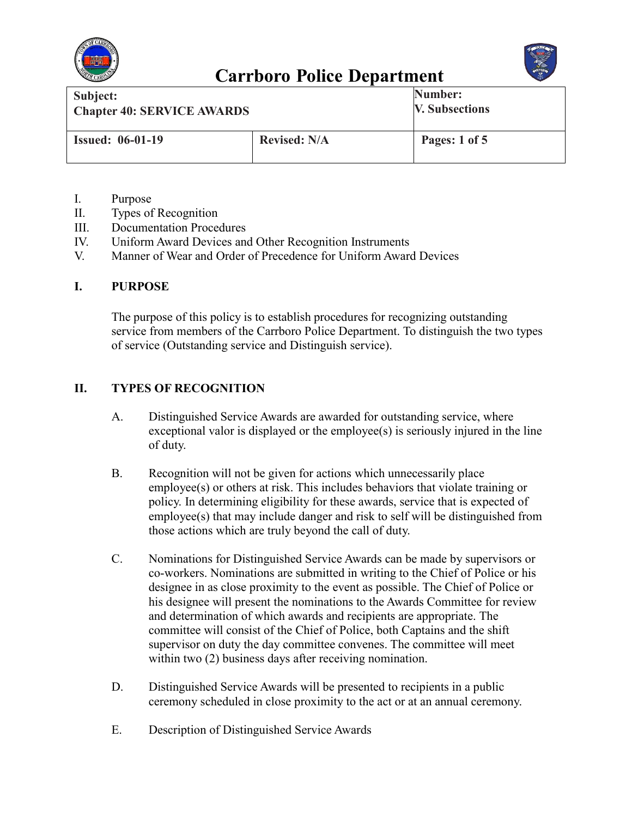



| Subject:                          |                     | Number:               |
|-----------------------------------|---------------------|-----------------------|
| <b>Chapter 40: SERVICE AWARDS</b> |                     | <b>V. Subsections</b> |
| <b>Issued: 06-01-19</b>           | <b>Revised: N/A</b> | Pages: 1 of 5         |

- I. Purpose
- II. Types of Recognition
- III. Documentation Procedures
- IV. Uniform Award Devices and Other Recognition Instruments
- V. Manner of Wear and Order of Precedence for Uniform Award Devices

#### **I. PURPOSE**

The purpose of this policy is to establish procedures for recognizing outstanding service from members of the Carrboro Police Department. To distinguish the two types of service (Outstanding service and Distinguish service).

### **II. TYPES OF RECOGNITION**

- A. Distinguished Service Awards are awarded for outstanding service, where exceptional valor is displayed or the employee(s) is seriously injured in the line of duty.
- B. Recognition will not be given for actions which unnecessarily place employee(s) or others at risk. This includes behaviors that violate training or policy. In determining eligibility for these awards, service that is expected of employee(s) that may include danger and risk to self will be distinguished from those actions which are truly beyond the call of duty.
- C. Nominations for Distinguished Service Awards can be made by supervisors or co-workers. Nominations are submitted in writing to the Chief of Police or his designee in as close proximity to the event as possible. The Chief of Police or his designee will present the nominations to the Awards Committee for review and determination of which awards and recipients are appropriate. The committee will consist of the Chief of Police, both Captains and the shift supervisor on duty the day committee convenes. The committee will meet within two (2) business days after receiving nomination.
- D. Distinguished Service Awards will be presented to recipients in a public ceremony scheduled in close proximity to the act or at an annual ceremony.
- E. Description of Distinguished Service Awards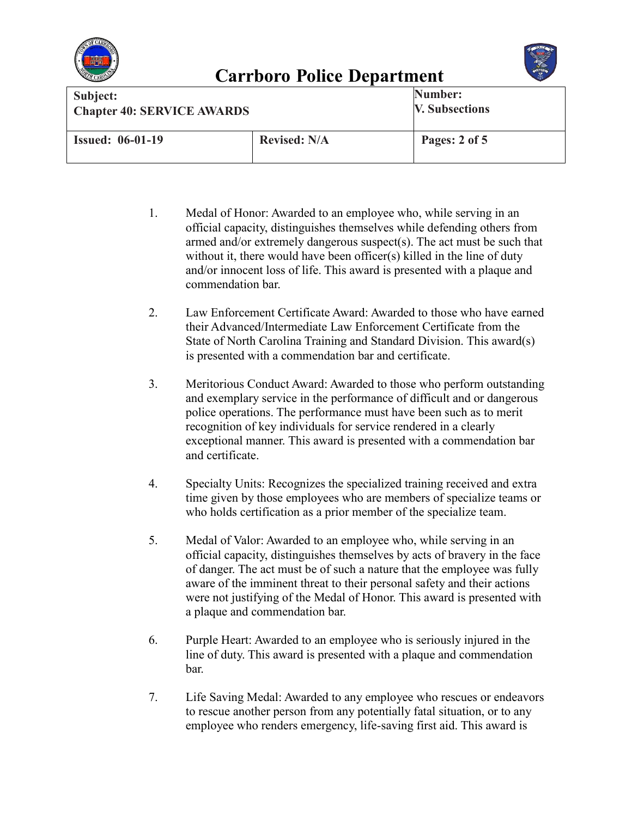



| Subject:                          |                     | Number:               |
|-----------------------------------|---------------------|-----------------------|
| <b>Chapter 40: SERVICE AWARDS</b> |                     | <b>V. Subsections</b> |
| <b>Issued: 06-01-19</b>           | <b>Revised: N/A</b> | Pages: 2 of 5         |

- 1. Medal of Honor: Awarded to an employee who, while serving in an official capacity, distinguishes themselves while defending others from armed and/or extremely dangerous suspect(s). The act must be such that without it, there would have been officer(s) killed in the line of duty and/or innocent loss of life. This award is presented with a plaque and commendation bar.
- 2. Law Enforcement Certificate Award: Awarded to those who have earned their Advanced/Intermediate Law Enforcement Certificate from the State of North Carolina Training and Standard Division. This award(s) is presented with a commendation bar and certificate.
- 3. Meritorious Conduct Award: Awarded to those who perform outstanding and exemplary service in the performance of difficult and or dangerous police operations. The performance must have been such as to merit recognition of key individuals for service rendered in a clearly exceptional manner. This award is presented with a commendation bar and certificate.
- 4. Specialty Units: Recognizes the specialized training received and extra time given by those employees who are members of specialize teams or who holds certification as a prior member of the specialize team.
- 5. Medal of Valor: Awarded to an employee who, while serving in an official capacity, distinguishes themselves by acts of bravery in the face of danger. The act must be of such a nature that the employee was fully aware of the imminent threat to their personal safety and their actions were not justifying of the Medal of Honor. This award is presented with a plaque and commendation bar.
- 6. Purple Heart: Awarded to an employee who is seriously injured in the line of duty. This award is presented with a plaque and commendation bar.
- 7. Life Saving Medal: Awarded to any employee who rescues or endeavors to rescue another person from any potentially fatal situation, or to any employee who renders emergency, life-saving first aid. This award is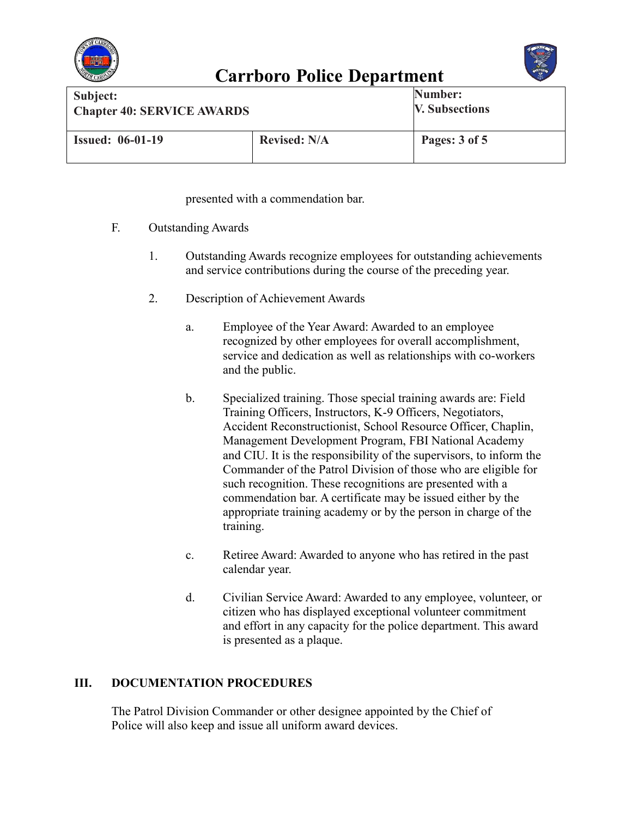



| Subject:                          |                     | Number:               |
|-----------------------------------|---------------------|-----------------------|
| <b>Chapter 40: SERVICE AWARDS</b> |                     | <b>V. Subsections</b> |
| <b>Issued: 06-01-19</b>           | <b>Revised: N/A</b> | Pages: 3 of 5         |

presented with a commendation bar.

- F. Outstanding Awards
	- 1. Outstanding Awards recognize employees for outstanding achievements and service contributions during the course of the preceding year.
	- 2. Description of Achievement Awards
		- a. Employee of the Year Award: Awarded to an employee recognized by other employees for overall accomplishment, service and dedication as well as relationships with co-workers and the public.
		- b. Specialized training. Those special training awards are: Field Training Officers, Instructors, K-9 Officers, Negotiators, Accident Reconstructionist, School Resource Officer, Chaplin, Management Development Program, FBI National Academy and CIU. It is the responsibility of the supervisors, to inform the Commander of the Patrol Division of those who are eligible for such recognition. These recognitions are presented with a commendation bar. A certificate may be issued either by the appropriate training academy or by the person in charge of the training.
		- c. Retiree Award: Awarded to anyone who has retired in the past calendar year.
		- d. Civilian Service Award: Awarded to any employee, volunteer, or citizen who has displayed exceptional volunteer commitment and effort in any capacity for the police department. This award is presented as a plaque.

### **III. DOCUMENTATION PROCEDURES**

The Patrol Division Commander or other designee appointed by the Chief of Police will also keep and issue all uniform award devices.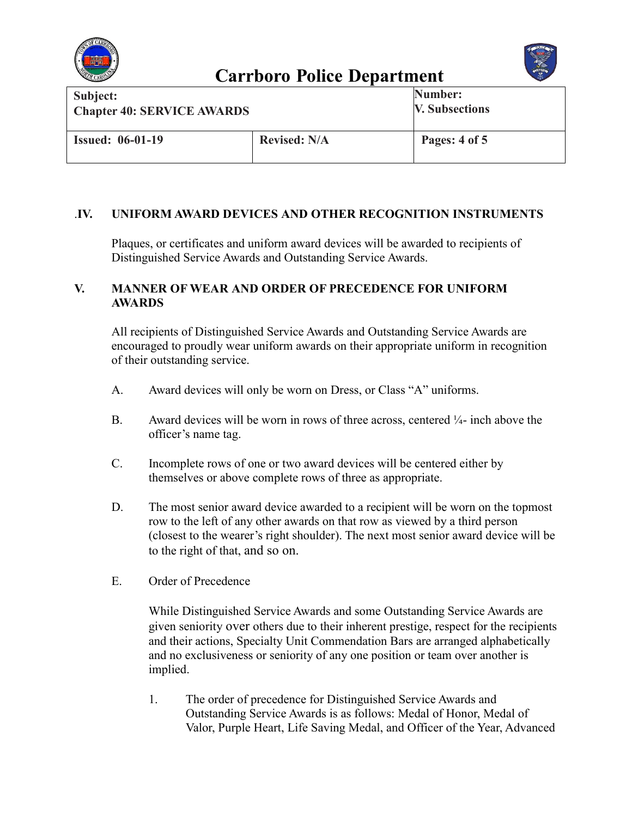



| Subject:                          |                     | Number:               |
|-----------------------------------|---------------------|-----------------------|
| <b>Chapter 40: SERVICE AWARDS</b> |                     | <b>V. Subsections</b> |
| <b>Issued: 06-01-19</b>           | <b>Revised: N/A</b> | Pages: 4 of 5         |

### .**IV. UNIFORM AWARD DEVICES AND OTHER RECOGNITION INSTRUMENTS**

Plaques, or certificates and uniform award devices will be awarded to recipients of Distinguished Service Awards and Outstanding Service Awards.

#### **V. MANNER OF WEAR AND ORDER OF PRECEDENCE FOR UNIFORM AWARDS**

All recipients of Distinguished Service Awards and Outstanding Service Awards are encouraged to proudly wear uniform awards on their appropriate uniform in recognition of their outstanding service.

- A. Award devices will only be worn on Dress, or Class "A" uniforms.
- B. Award devices will be worn in rows of three across, centered  $\frac{1}{4}$  inch above the officer's name tag.
- C. Incomplete rows of one or two award devices will be centered either by themselves or above complete rows of three as appropriate.
- D. The most senior award device awarded to a recipient will be worn on the topmost row to the left of any other awards on that row as viewed by a third person (closest to the wearer's right shoulder). The next most senior award device will be to the right of that, and so on.
- E. Order of Precedence

While Distinguished Service Awards and some Outstanding Service Awards are given seniority over others due to their inherent prestige, respect for the recipients and their actions, Specialty Unit Commendation Bars are arranged alphabetically and no exclusiveness or seniority of any one position or team over another is implied.

1. The order of precedence for Distinguished Service Awards and Outstanding Service Awards is as follows: Medal of Honor, Medal of Valor, Purple Heart, Life Saving Medal, and Officer of the Year, Advanced